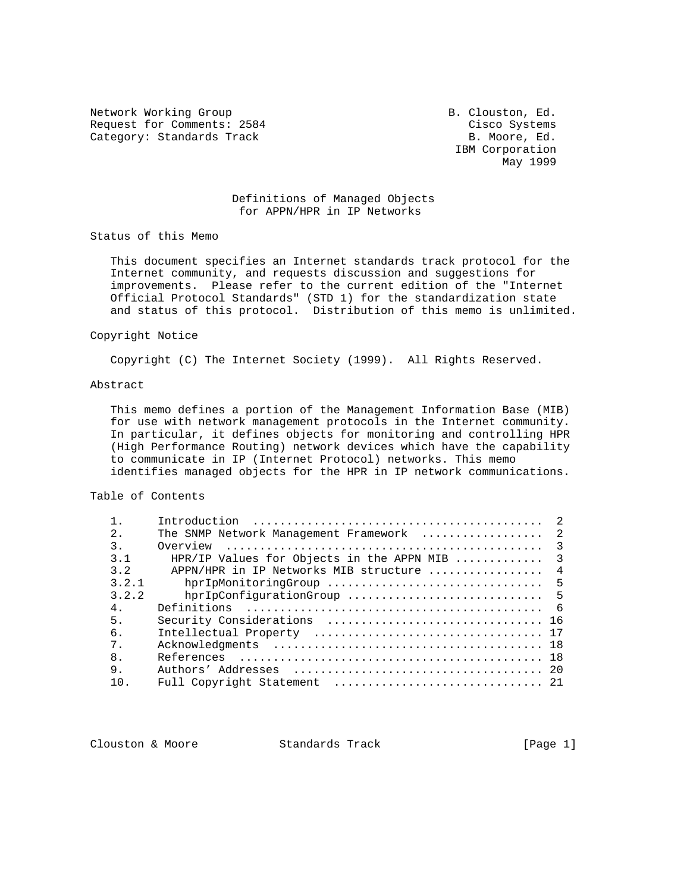Network Working Group B. Clouston, Ed. Request for Comments: 2584 Cisco Systems Category: Standards Track B. Moore, Ed.

 IBM Corporation May 1999

## Definitions of Managed Objects for APPN/HPR in IP Networks

Status of this Memo

 This document specifies an Internet standards track protocol for the Internet community, and requests discussion and suggestions for improvements. Please refer to the current edition of the "Internet Official Protocol Standards" (STD 1) for the standardization state and status of this protocol. Distribution of this memo is unlimited.

### Copyright Notice

Copyright (C) The Internet Society (1999). All Rights Reserved.

# Abstract

 This memo defines a portion of the Management Information Base (MIB) for use with network management protocols in the Internet community. In particular, it defines objects for monitoring and controlling HPR (High Performance Routing) network devices which have the capability to communicate in IP (Internet Protocol) networks. This memo identifies managed objects for the HPR in IP network communications.

## Table of Contents

|       |                                           | $\mathcal{L}$  |
|-------|-------------------------------------------|----------------|
| 2.    | The SNMP Network Management Framework     | $\overline{2}$ |
| 3.    | Overview                                  | $\mathcal{E}$  |
| 3.1   | HPR/IP Values for Objects in the APPN MIB | $\mathcal{E}$  |
| 3.2   | APPN/HPR in IP Networks MIB structure     | $\overline{4}$ |
| 3.2.1 |                                           |                |
| 3.2.2 | hprIpConfigurationGroup                   | 5              |
| 4.    |                                           | - 6            |
| 5.    |                                           |                |
| б.    |                                           |                |
| $7$ . |                                           |                |
| 8.    |                                           |                |
| 9.    |                                           |                |
| 1 O   |                                           |                |

Clouston & Moore 6 (Page 1)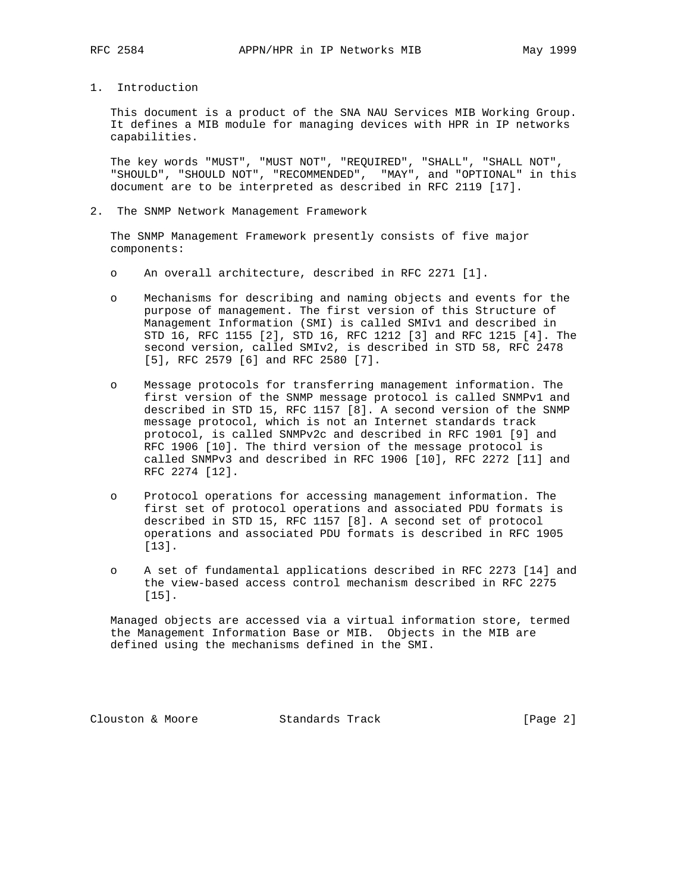1. Introduction

 This document is a product of the SNA NAU Services MIB Working Group. It defines a MIB module for managing devices with HPR in IP networks capabilities.

 The key words "MUST", "MUST NOT", "REQUIRED", "SHALL", "SHALL NOT", "SHOULD", "SHOULD NOT", "RECOMMENDED", "MAY", and "OPTIONAL" in this document are to be interpreted as described in RFC 2119 [17].

2. The SNMP Network Management Framework

 The SNMP Management Framework presently consists of five major components:

- o An overall architecture, described in RFC 2271 [1].
- o Mechanisms for describing and naming objects and events for the purpose of management. The first version of this Structure of Management Information (SMI) is called SMIv1 and described in STD 16, RFC 1155 [2], STD 16, RFC 1212 [3] and RFC 1215 [4]. The second version, called SMIv2, is described in STD 58, RFC 2478 [5], RFC 2579 [6] and RFC 2580 [7].
- o Message protocols for transferring management information. The first version of the SNMP message protocol is called SNMPv1 and described in STD 15, RFC 1157 [8]. A second version of the SNMP message protocol, which is not an Internet standards track protocol, is called SNMPv2c and described in RFC 1901 [9] and RFC 1906 [10]. The third version of the message protocol is called SNMPv3 and described in RFC 1906 [10], RFC 2272 [11] and RFC 2274 [12].
- o Protocol operations for accessing management information. The first set of protocol operations and associated PDU formats is described in STD 15, RFC 1157 [8]. A second set of protocol operations and associated PDU formats is described in RFC 1905 [13].
- o A set of fundamental applications described in RFC 2273 [14] and the view-based access control mechanism described in RFC 2275 [15].

 Managed objects are accessed via a virtual information store, termed the Management Information Base or MIB. Objects in the MIB are defined using the mechanisms defined in the SMI.

Clouston & Moore 6 Standards Track [Page 2]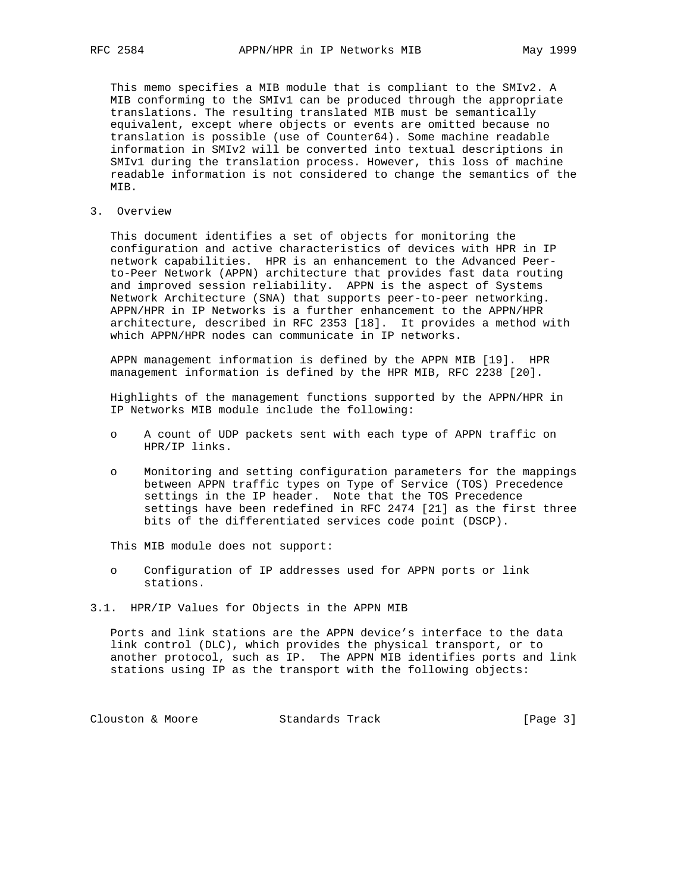This memo specifies a MIB module that is compliant to the SMIv2. A MIB conforming to the SMIv1 can be produced through the appropriate translations. The resulting translated MIB must be semantically equivalent, except where objects or events are omitted because no translation is possible (use of Counter64). Some machine readable information in SMIv2 will be converted into textual descriptions in SMIv1 during the translation process. However, this loss of machine readable information is not considered to change the semantics of the MIB.

3. Overview

 This document identifies a set of objects for monitoring the configuration and active characteristics of devices with HPR in IP network capabilities. HPR is an enhancement to the Advanced Peer to-Peer Network (APPN) architecture that provides fast data routing and improved session reliability. APPN is the aspect of Systems Network Architecture (SNA) that supports peer-to-peer networking. APPN/HPR in IP Networks is a further enhancement to the APPN/HPR architecture, described in RFC 2353 [18]. It provides a method with which APPN/HPR nodes can communicate in IP networks.

 APPN management information is defined by the APPN MIB [19]. HPR management information is defined by the HPR MIB, RFC 2238 [20].

 Highlights of the management functions supported by the APPN/HPR in IP Networks MIB module include the following:

- o A count of UDP packets sent with each type of APPN traffic on HPR/IP links.
- o Monitoring and setting configuration parameters for the mappings between APPN traffic types on Type of Service (TOS) Precedence settings in the IP header. Note that the TOS Precedence settings have been redefined in RFC 2474 [21] as the first three bits of the differentiated services code point (DSCP).

This MIB module does not support:

- o Configuration of IP addresses used for APPN ports or link stations.
- 3.1. HPR/IP Values for Objects in the APPN MIB

 Ports and link stations are the APPN device's interface to the data link control (DLC), which provides the physical transport, or to another protocol, such as IP. The APPN MIB identifies ports and link stations using IP as the transport with the following objects:

Clouston & Moore 6 Standards Track [Page 3]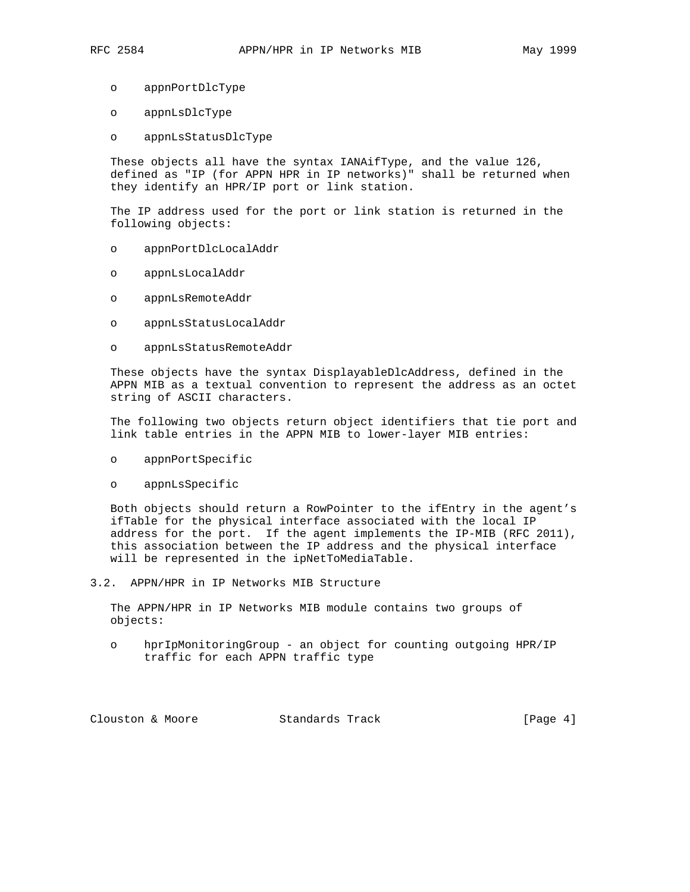- o appnPortDlcType
- o appnLsDlcType
- o appnLsStatusDlcType

 These objects all have the syntax IANAifType, and the value 126, defined as "IP (for APPN HPR in IP networks)" shall be returned when they identify an HPR/IP port or link station.

 The IP address used for the port or link station is returned in the following objects:

- o appnPortDlcLocalAddr
- o appnLsLocalAddr
- o appnLsRemoteAddr
- o appnLsStatusLocalAddr
- o appnLsStatusRemoteAddr

 These objects have the syntax DisplayableDlcAddress, defined in the APPN MIB as a textual convention to represent the address as an octet string of ASCII characters.

 The following two objects return object identifiers that tie port and link table entries in the APPN MIB to lower-layer MIB entries:

- o appnPortSpecific
- o appnLsSpecific

 Both objects should return a RowPointer to the ifEntry in the agent's ifTable for the physical interface associated with the local IP address for the port. If the agent implements the IP-MIB (RFC 2011), this association between the IP address and the physical interface will be represented in the ipNetToMediaTable.

3.2. APPN/HPR in IP Networks MIB Structure

 The APPN/HPR in IP Networks MIB module contains two groups of objects:

 o hprIpMonitoringGroup - an object for counting outgoing HPR/IP traffic for each APPN traffic type

Clouston & Moore 6 Standards Track [Page 4]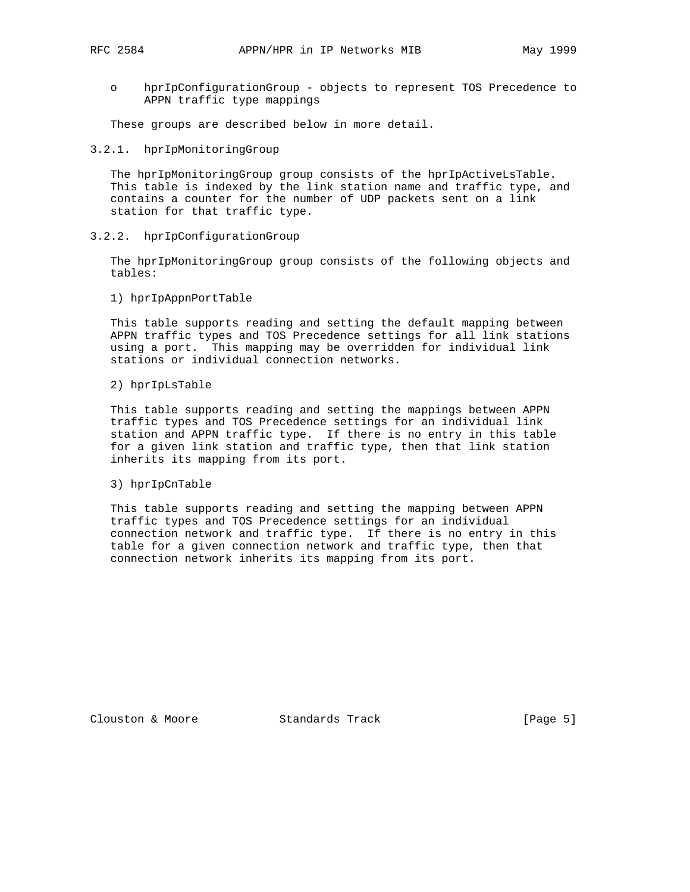o hprIpConfigurationGroup - objects to represent TOS Precedence to APPN traffic type mappings

These groups are described below in more detail.

3.2.1. hprIpMonitoringGroup

 The hprIpMonitoringGroup group consists of the hprIpActiveLsTable. This table is indexed by the link station name and traffic type, and contains a counter for the number of UDP packets sent on a link station for that traffic type.

3.2.2. hprIpConfigurationGroup

 The hprIpMonitoringGroup group consists of the following objects and tables:

1) hprIpAppnPortTable

 This table supports reading and setting the default mapping between APPN traffic types and TOS Precedence settings for all link stations using a port. This mapping may be overridden for individual link stations or individual connection networks.

2) hprIpLsTable

 This table supports reading and setting the mappings between APPN traffic types and TOS Precedence settings for an individual link station and APPN traffic type. If there is no entry in this table for a given link station and traffic type, then that link station inherits its mapping from its port.

3) hprIpCnTable

 This table supports reading and setting the mapping between APPN traffic types and TOS Precedence settings for an individual connection network and traffic type. If there is no entry in this table for a given connection network and traffic type, then that connection network inherits its mapping from its port.

Clouston & Moore 6 (Page 5)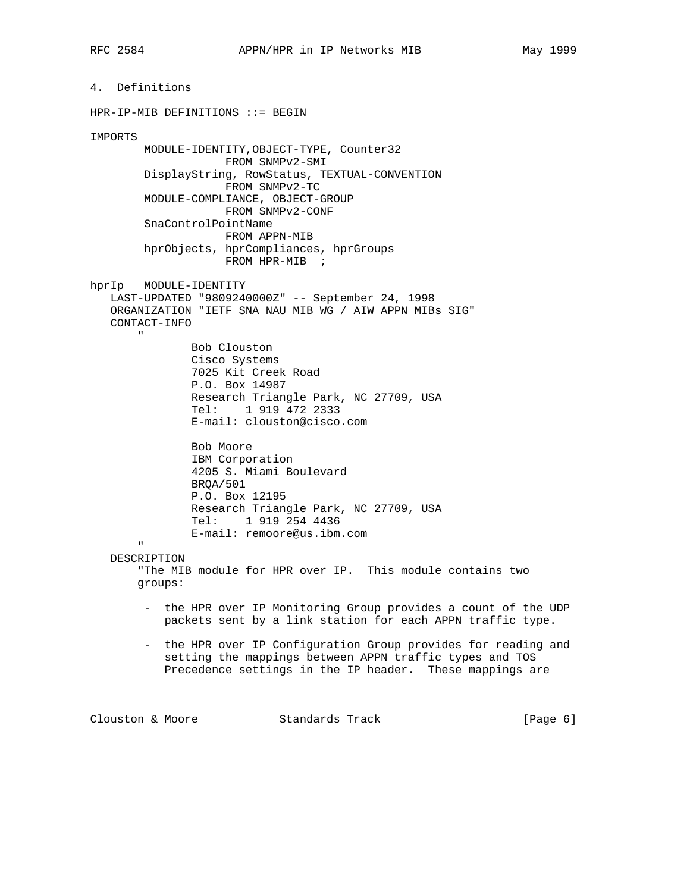4. Definitions HPR-IP-MIB DEFINITIONS ::= BEGIN IMPORTS MODULE-IDENTITY,OBJECT-TYPE, Counter32 FROM SNMPv2-SMI DisplayString, RowStatus, TEXTUAL-CONVENTION FROM SNMPv2-TC MODULE-COMPLIANCE, OBJECT-GROUP FROM SNMPv2-CONF SnaControlPointName FROM APPN-MIB hprObjects, hprCompliances, hprGroups FROM HPR-MIB ; hprIp MODULE-IDENTITY LAST-UPDATED "9809240000Z" -- September 24, 1998 ORGANIZATION "IETF SNA NAU MIB WG / AIW APPN MIBs SIG" CONTACT-INFO " Bob Clouston Cisco Systems 7025 Kit Creek Road P.O. Box 14987 Research Triangle Park, NC 27709, USA Tel: 1 919 472 2333 E-mail: clouston@cisco.com Bob Moore IBM Corporation 4205 S. Miami Boulevard BRQA/501 P.O. Box 12195 Research Triangle Park, NC 27709, USA Tel: 1 919 254 4436 E-mail: remoore@us.ibm.com " DESCRIPTION "The MIB module for HPR over IP. This module contains two groups: - the HPR over IP Monitoring Group provides a count of the UDP packets sent by a link station for each APPN traffic type. - the HPR over IP Configuration Group provides for reading and setting the mappings between APPN traffic types and TOS Precedence settings in the IP header. These mappings are

Clouston & Moore 6 (Page 6)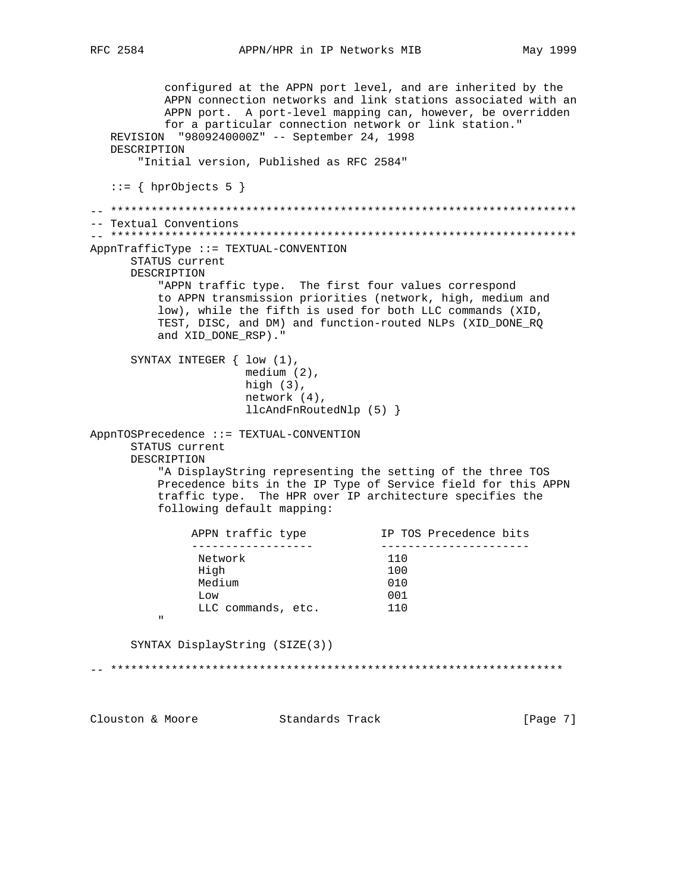May 1999

```
configured at the APPN port level, and are inherited by the
         APPN connection networks and link stations associated with an
         APPN port. A port-level mapping can, however, be overridden
         for a particular connection network or link station."
  REVISION "9809240000Z" -- September 24, 1998
  DESCRIPTION
      "Initial version, Published as RFC 2584"
  ::= { hprObjects 5 }
-- Textual Conventions
AppnTrafficType ::= TEXTUAL-CONVENTION
     STATUS current
     DESCRIPTION
        "APPN traffic type. The first four values correspond
        to APPN transmission priorities (network, high, medium and
        low), while the fifth is used for both LLC commands (XID,
        TEST, DISC, and DM) and function-routed NLPs (XID_DONE_RQ
        and XID_DONE_RSP)."
     SYNTAX INTEGER { low (1),
                   medium (2),
                   high (3),
                   network (4),
                   llcAndFnRoutedNlp (5) }
AppnTOSPrecedence ::= TEXTUAL-CONVENTION
     STATUS current
     DESCRIPTION
        "A DisplayString representing the setting of the three TOS
        Precedence bits in the IP Type of Service field for this APPN
        traffic type. The HPR over IP architecture specifies the
        following default mapping:
            ------------------<br>Network
                                   IP TOS Precedence bits
            APPN traffic type
                                    _________________________
             Network
                                     110
             High
                                     100
             Medium
                                     010
                                    001
             T_{1} \cap WLLC commands, etc.
                                    110
        \bar{\mathbf{u}}SYNTAX DisplayString (SIZE(3))
Clouston & Moore Standards Track
                                                      [Page 7]
```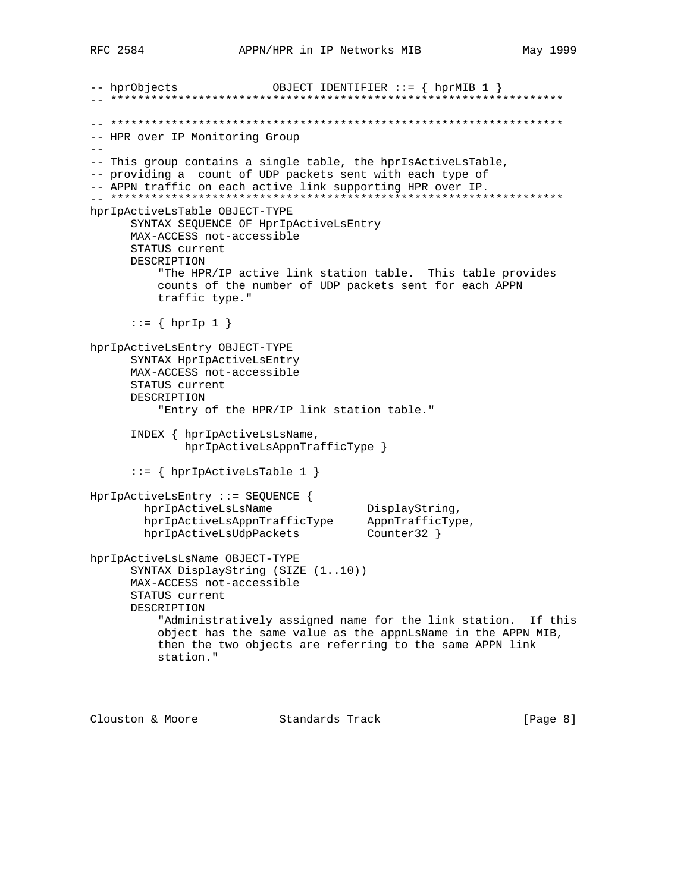-- hprObjects OBJECT IDENTIFIER ::=  $\{$  hprMIB 1  $\}$ -- HPR over IP Monitoring Group  $=$   $-$ -- This group contains a single table, the hprIsActiveLsTable, -- providing a count of UDP packets sent with each type of -- APPN traffic on each active link supporting HPR over IP. hprIpActiveLsTable OBJECT-TYPE SYNTAX SEQUENCE OF HprIpActiveLsEntry MAX-ACCESS not-accessible STATUS current DESCRIPTION "The HPR/IP active link station table. This table provides counts of the number of UDP packets sent for each APPN traffic type."  $::= \{ hprIp 1 \}$ hprIpActiveLsEntry OBJECT-TYPE SYNTAX HprIpActiveLsEntry MAX-ACCESS not-accessible STATUS current DESCRIPTION "Entry of the HPR/IP link station table." INDEX { hprIpActiveLsLsName, hprIpActiveLsAppnTrafficType }  $::= \{ hprIpActiveLsTable 1 \}$ HprIpActiveLsEntry ::= SEQUENCE { hprIpActiveLsLsName<br>hprIpActiveLsAppnTrafficType AppnTrafficType,<br>hprIpActiveLsUdpPackets Counter32 } hprIpActiveLsLsName DisplayString, hprIpActiveLsLsName OBJECT-TYPE SYNTAX DisplayString (SIZE (1..10)) MAX-ACCESS not-accessible STATUS current DESCRIPTION "Administratively assigned name for the link station. If this object has the same value as the appnLsName in the APPN MIB, then the two objects are referring to the same APPN link station."

Clouston & Moore Standards Track  $[Page 8]$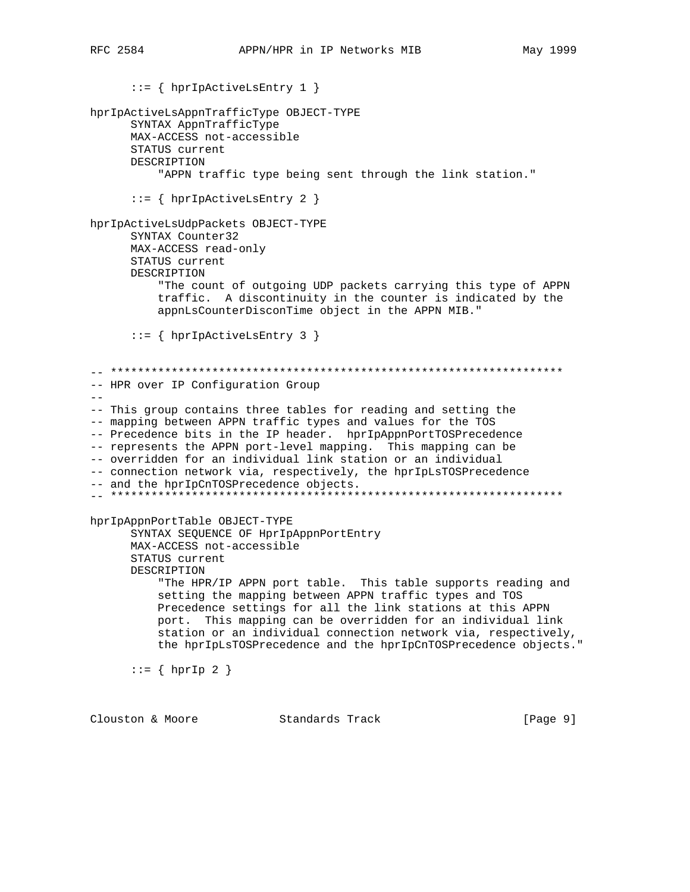$::=$  { hprIpActiveLsEntry 1 } hprIpActiveLsAppnTrafficType OBJECT-TYPE SYNTAX AppnTrafficType MAX-ACCESS not-accessible STATUS current DESCRIPTION "APPN traffic type being sent through the link station."  $::=$  { hprIpActiveLsEntry 2 } hprIpActiveLsUdpPackets OBJECT-TYPE SYNTAX Counter32 MAX-ACCESS read-only STATUS current DESCRIPTION "The count of outgoing UDP packets carrying this type of APPN traffic. A discontinuity in the counter is indicated by the appnLsCounterDisconTime object in the APPN MIB."  $::=$  { hprIpActiveLsEntry 3 } -- HPR over IP Configuration Group -- This group contains three tables for reading and setting the -- mapping between APPN traffic types and values for the TOS -- Precedence bits in the IP header. hprIpAppnPortTOSPrecedence -- represents the APPN port-level mapping. This mapping can be -- overridden for an individual link station or an individual -- connection network via, respectively, the hprIpLsTOSPrecedence -- and the hprIpCnTOSPrecedence objects. hprIpAppnPortTable OBJECT-TYPE SYNTAX SEQUENCE OF HprIpAppnPortEntry MAX-ACCESS not-accessible STATUS current DESCRIPTION "The HPR/IP APPN port table. This table supports reading and setting the mapping between APPN traffic types and TOS Precedence settings for all the link stations at this APPN port. This mapping can be overridden for an individual link station or an individual connection network via, respectively, the hprIpLsTOSPrecedence and the hprIpCnTOSPrecedence objects."  $::=$  { hprIp 2 }

Clouston & Moore Standards Track  $[Page 9]$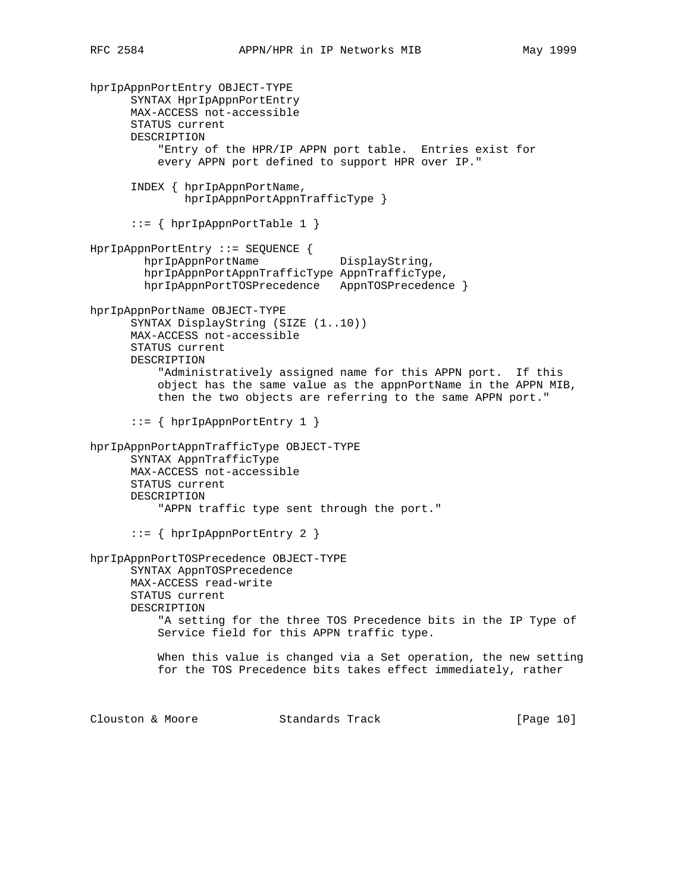hprIpAppnPortEntry OBJECT-TYPE SYNTAX HprIpAppnPortEntry MAX-ACCESS not-accessible STATUS current DESCRIPTION "Entry of the HPR/IP APPN port table. Entries exist for every APPN port defined to support HPR over IP." INDEX { hprIpAppnPortName, hprIpAppnPortAppnTrafficType } ::= { hprIpAppnPortTable 1 } HprIpAppnPortEntry ::= SEQUENCE { hprIpAppnPortName DisplayString, hprIpAppnPortAppnTrafficType AppnTrafficType, hprIpAppnPortTOSPrecedence AppnTOSPrecedence } hprIpAppnPortName OBJECT-TYPE SYNTAX DisplayString (SIZE (1..10)) MAX-ACCESS not-accessible STATUS current DESCRIPTION "Administratively assigned name for this APPN port. If this object has the same value as the appnPortName in the APPN MIB, then the two objects are referring to the same APPN port." ::= { hprIpAppnPortEntry 1 } hprIpAppnPortAppnTrafficType OBJECT-TYPE SYNTAX AppnTrafficType MAX-ACCESS not-accessible STATUS current DESCRIPTION "APPN traffic type sent through the port." ::= { hprIpAppnPortEntry 2 } hprIpAppnPortTOSPrecedence OBJECT-TYPE SYNTAX AppnTOSPrecedence MAX-ACCESS read-write STATUS current DESCRIPTION "A setting for the three TOS Precedence bits in the IP Type of Service field for this APPN traffic type. When this value is changed via a Set operation, the new setting for the TOS Precedence bits takes effect immediately, rather Clouston & Moore Standards Track [Page 10]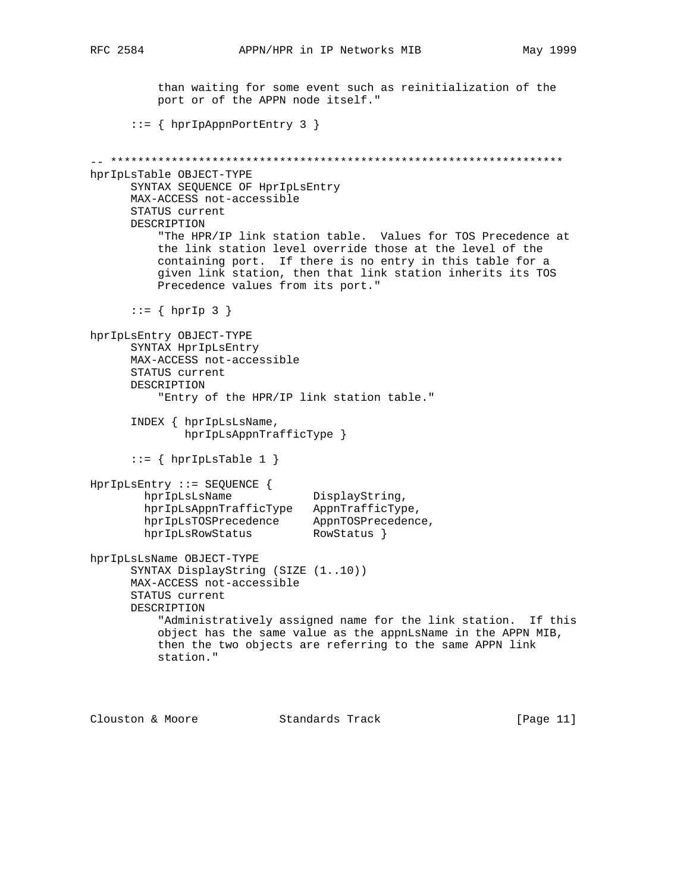than waiting for some event such as reinitialization of the port or of the APPN node itself." ::= { hprIpAppnPortEntry 3 } -- \*\*\*\*\*\*\*\*\*\*\*\*\*\*\*\*\*\*\*\*\*\*\*\*\*\*\*\*\*\*\*\*\*\*\*\*\*\*\*\*\*\*\*\*\*\*\*\*\*\*\*\*\*\*\*\*\*\*\*\*\*\*\*\*\*\*\* hprIpLsTable OBJECT-TYPE SYNTAX SEQUENCE OF HprIpLsEntry MAX-ACCESS not-accessible STATUS current DESCRIPTION "The HPR/IP link station table. Values for TOS Precedence at the link station level override those at the level of the containing port. If there is no entry in this table for a given link station, then that link station inherits its TOS Precedence values from its port."  $::= \{ hprIp 3 \}$ hprIpLsEntry OBJECT-TYPE SYNTAX HprIpLsEntry MAX-ACCESS not-accessible STATUS current DESCRIPTION "Entry of the HPR/IP link station table." INDEX { hprIpLsLsName, hprIpLsAppnTrafficType }  $::=$  { hprIpLsTable 1 } HprIpLsEntry ::= SEQUENCE { hprIpLsLsName DisplayString, hprIpLsAppnTrafficType AppnTrafficType, hprIpLsTOSPrecedence AppnTOSPrecedence, hprIpLsRowStatus RowStatus } hprIpLsLsName OBJECT-TYPE SYNTAX DisplayString (SIZE (1..10)) MAX-ACCESS not-accessible STATUS current DESCRIPTION "Administratively assigned name for the link station. If this object has the same value as the appnLsName in the APPN MIB, then the two objects are referring to the same APPN link station."

Clouston & Moore Standards Track [Page 11]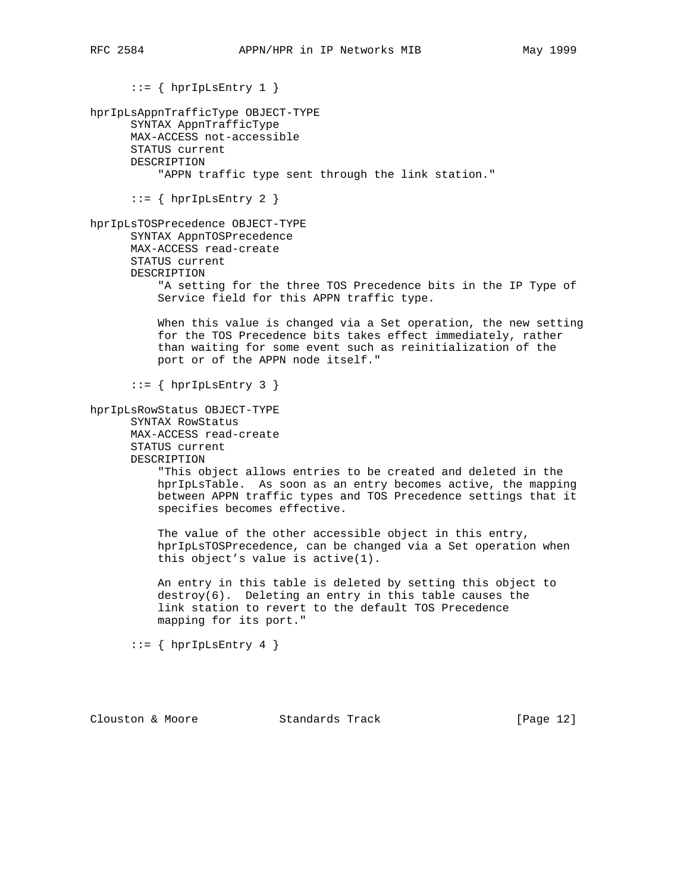$::=$  { hprIpLsEntry 1 } hprIpLsAppnTrafficType OBJECT-TYPE SYNTAX AppnTrafficType MAX-ACCESS not-accessible STATUS current DESCRIPTION "APPN traffic type sent through the link station."  $::=$  { hprIpLsEntry 2 } hprIpLsTOSPrecedence OBJECT-TYPE SYNTAX AppnTOSPrecedence MAX-ACCESS read-create STATUS current DESCRIPTION "A setting for the three TOS Precedence bits in the IP Type of Service field for this APPN traffic type. When this value is changed via a Set operation, the new setting for the TOS Precedence bits takes effect immediately, rather than waiting for some event such as reinitialization of the port or of the APPN node itself."  $::=$  { hprIpLsEntry 3 } hprIpLsRowStatus OBJECT-TYPE SYNTAX RowStatus MAX-ACCESS read-create STATUS current DESCRIPTION "This object allows entries to be created and deleted in the hprIpLsTable. As soon as an entry becomes active, the mapping between APPN traffic types and TOS Precedence settings that it specifies becomes effective. The value of the other accessible object in this entry, hprIpLsTOSPrecedence, can be changed via a Set operation when this object's value is active(1). An entry in this table is deleted by setting this object to destroy(6). Deleting an entry in this table causes the link station to revert to the default TOS Precedence mapping for its port."  $::=$  { hprIpLsEntry 4 }

Clouston & Moore Standards Track [Page 12]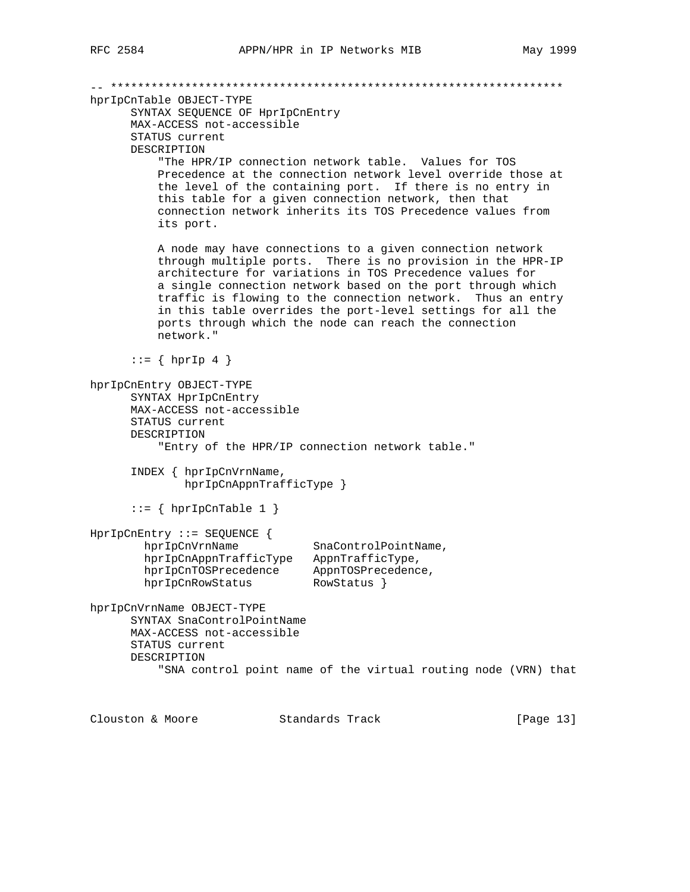-- \*\*\*\*\*\*\*\*\*\*\*\*\*\*\*\*\*\*\*\*\*\*\*\*\*\*\*\*\*\*\*\*\*\*\*\*\*\*\*\*\*\*\*\*\*\*\*\*\*\*\*\*\*\*\*\*\*\*\*\*\*\*\*\*\*\*\* hprIpCnTable OBJECT-TYPE SYNTAX SEQUENCE OF HprIpCnEntry MAX-ACCESS not-accessible STATUS current DESCRIPTION "The HPR/IP connection network table. Values for TOS Precedence at the connection network level override those at the level of the containing port. If there is no entry in this table for a given connection network, then that connection network inherits its TOS Precedence values from its port. A node may have connections to a given connection network through multiple ports. There is no provision in the HPR-IP architecture for variations in TOS Precedence values for a single connection network based on the port through which traffic is flowing to the connection network. Thus an entry in this table overrides the port-level settings for all the ports through which the node can reach the connection network."  $::=$  { hprIp 4 } hprIpCnEntry OBJECT-TYPE SYNTAX HprIpCnEntry MAX-ACCESS not-accessible STATUS current DESCRIPTION "Entry of the HPR/IP connection network table." INDEX { hprIpCnVrnName, hprIpCnAppnTrafficType }  $::=$  { hprIpCnTable 1 } HprIpCnEntry ::= SEQUENCE { hprIpCnVrnName SnaControlPointName, hprIpCnAppnTrafficType AppnTrafficType, hprIpCnTOSPrecedence AppnTOSPrecedence, hprIpCnRowStatus RowStatus } hprIpCnVrnName OBJECT-TYPE SYNTAX SnaControlPointName MAX-ACCESS not-accessible STATUS current DESCRIPTION "SNA control point name of the virtual routing node (VRN) that Clouston & Moore Standards Track [Page 13]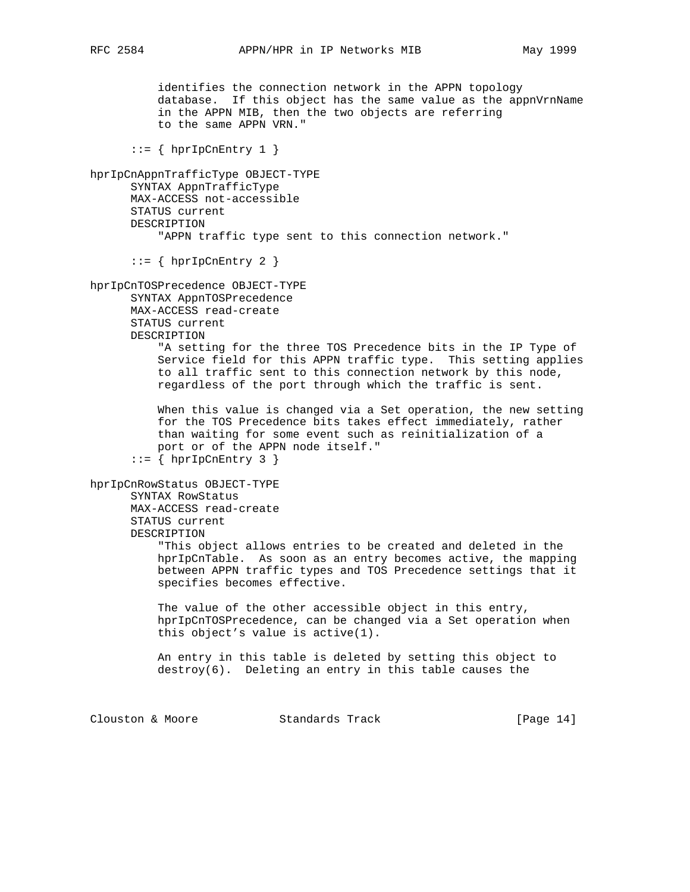identifies the connection network in the APPN topology database. If this object has the same value as the appnVrnName in the APPN MIB, then the two objects are referring to the same APPN VRN."  $::=$  { hprIpCnEntry 1 } hprIpCnAppnTrafficType OBJECT-TYPE SYNTAX AppnTrafficType MAX-ACCESS not-accessible STATUS current DESCRIPTION "APPN traffic type sent to this connection network."  $::=$  { hprIpCnEntry 2 } hprIpCnTOSPrecedence OBJECT-TYPE SYNTAX AppnTOSPrecedence MAX-ACCESS read-create STATUS current DESCRIPTION "A setting for the three TOS Precedence bits in the IP Type of Service field for this APPN traffic type. This setting applies to all traffic sent to this connection network by this node, regardless of the port through which the traffic is sent. When this value is changed via a Set operation, the new setting for the TOS Precedence bits takes effect immediately, rather than waiting for some event such as reinitialization of a port or of the APPN node itself."  $::= \{ hprIpCnEntry 3 \}$ hprIpCnRowStatus OBJECT-TYPE SYNTAX RowStatus MAX-ACCESS read-create STATUS current DESCRIPTION "This object allows entries to be created and deleted in the hprIpCnTable. As soon as an entry becomes active, the mapping between APPN traffic types and TOS Precedence settings that it specifies becomes effective. The value of the other accessible object in this entry, hprIpCnTOSPrecedence, can be changed via a Set operation when this object's value is active(1). An entry in this table is deleted by setting this object to destroy(6). Deleting an entry in this table causes the

Clouston & Moore Standards Track [Page 14]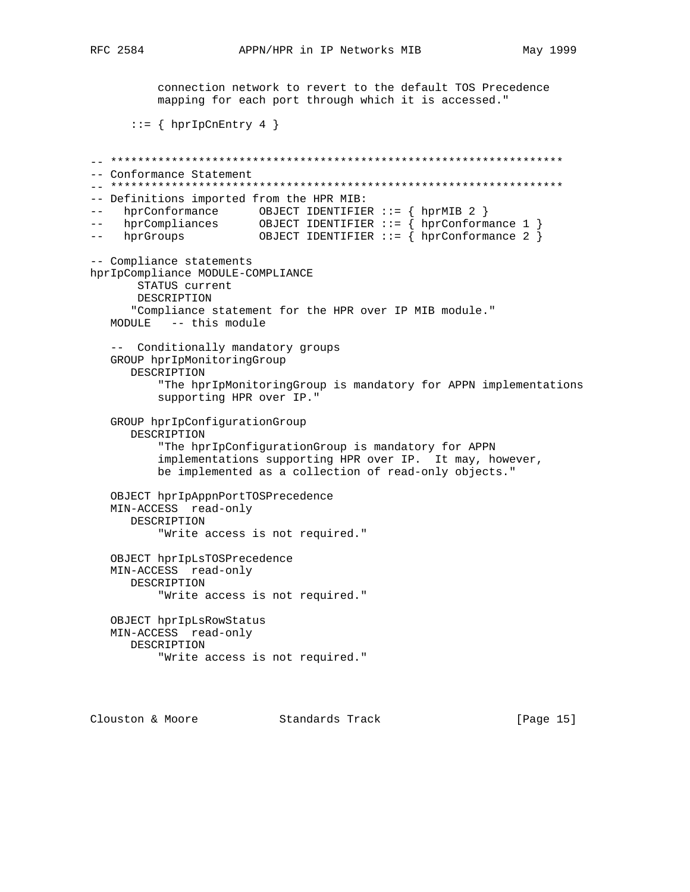[Page 15]

RFC 2584

connection network to revert to the default TOS Precedence mapping for each port through which it is accessed."  $::=$  { hprIpCnEntry 4 } -- Conformance Statement -- Definitions imported from the HPR MIB: -- hprConformance OBJECT IDENTIFIER ::= { hprMIB 2 }<br>-- hprCompliances OBJECT IDENTIFIER ::= { hprConformance 1 }<br>-- hprGroups OBJECT IDENTIFIER ::= { hprConformance 2 } -- hprGroups -- Compliance statements hprIpCompliance MODULE-COMPLIANCE STATUS current DESCRIPTION "Compliance statement for the HPR over IP MIB module." MODULE -- this module -- Conditionally mandatory groups GROUP hprIpMonitoringGroup DESCRIPTION "The hprIpMonitoringGroup is mandatory for APPN implementations supporting HPR over IP." GROUP hprIpConfigurationGroup DESCRIPTION "The hprIpConfigurationGroup is mandatory for APPN implementations supporting HPR over IP. It may, however, be implemented as a collection of read-only objects." OBJECT hprIpAppnPortTOSPrecedence MIN-ACCESS read-only DESCRIPTION "Write access is not required." OBJECT hprIpLsTOSPrecedence MIN-ACCESS read-only DESCRIPTION "Write access is not required." OBJECT hprIpLsRowStatus MIN-ACCESS read-only DESCRIPTION "Write access is not required."

Clouston & Moore Standards Track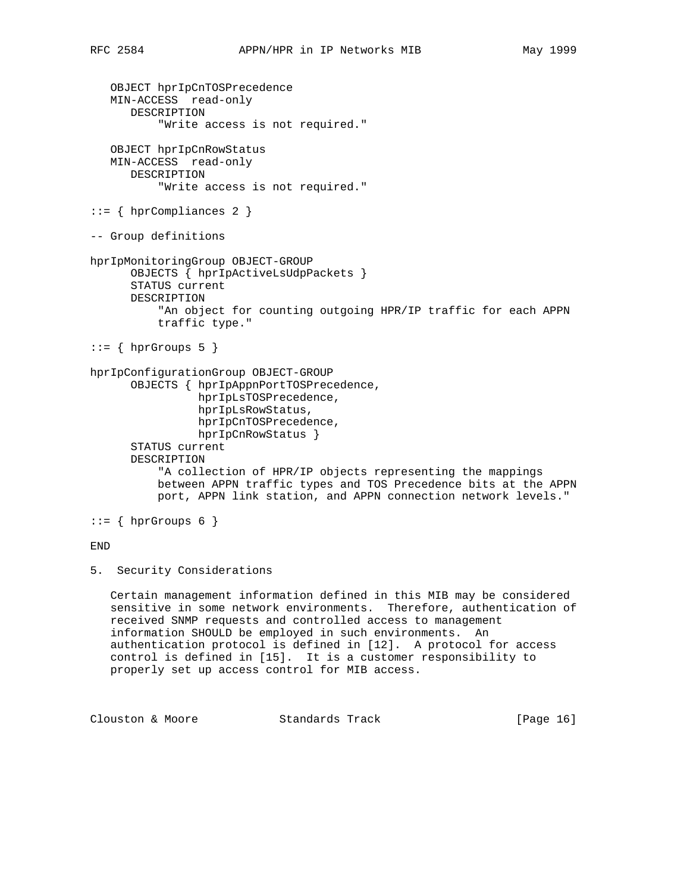```
 OBJECT hprIpCnTOSPrecedence
    MIN-ACCESS read-only
       DESCRIPTION
           "Write access is not required."
    OBJECT hprIpCnRowStatus
   MIN-ACCESS read-only
       DESCRIPTION
           "Write access is not required."
::= { hprCompliances 2 }
-- Group definitions
hprIpMonitoringGroup OBJECT-GROUP
       OBJECTS { hprIpActiveLsUdpPackets }
       STATUS current
       DESCRIPTION
           "An object for counting outgoing HPR/IP traffic for each APPN
           traffic type."
::= \{ hprGroups 5 \}hprIpConfigurationGroup OBJECT-GROUP
       OBJECTS { hprIpAppnPortTOSPrecedence,
                 hprIpLsTOSPrecedence,
                 hprIpLsRowStatus,
                 hprIpCnTOSPrecedence,
                 hprIpCnRowStatus }
       STATUS current
       DESCRIPTION
           "A collection of HPR/IP objects representing the mappings
           between APPN traffic types and TOS Precedence bits at the APPN
           port, APPN link station, and APPN connection network levels."
::= { hprGroups 6 }
END
5. Security Considerations
    Certain management information defined in this MIB may be considered
    sensitive in some network environments. Therefore, authentication of
    received SNMP requests and controlled access to management
```
 information SHOULD be employed in such environments. An authentication protocol is defined in [12]. A protocol for access control is defined in [15]. It is a customer responsibility to properly set up access control for MIB access.

Clouston & Moore Standards Track [Page 16]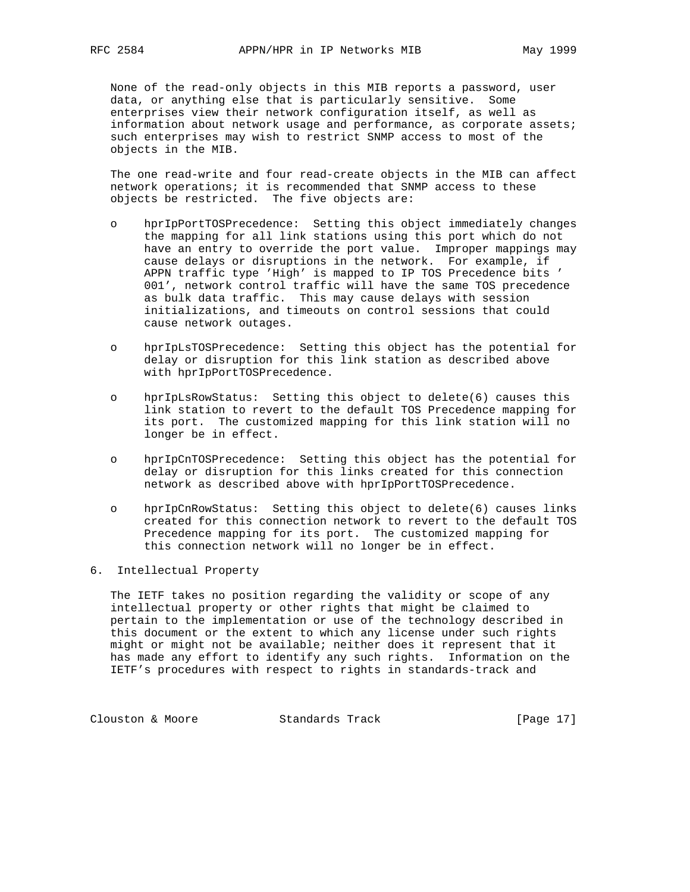None of the read-only objects in this MIB reports a password, user data, or anything else that is particularly sensitive. Some enterprises view their network configuration itself, as well as information about network usage and performance, as corporate assets; such enterprises may wish to restrict SNMP access to most of the objects in the MIB.

 The one read-write and four read-create objects in the MIB can affect network operations; it is recommended that SNMP access to these objects be restricted. The five objects are:

- o hprIpPortTOSPrecedence: Setting this object immediately changes the mapping for all link stations using this port which do not have an entry to override the port value. Improper mappings may cause delays or disruptions in the network. For example, if APPN traffic type 'High' is mapped to IP TOS Precedence bits ' 001', network control traffic will have the same TOS precedence as bulk data traffic. This may cause delays with session initializations, and timeouts on control sessions that could cause network outages.
- o hprIpLsTOSPrecedence: Setting this object has the potential for delay or disruption for this link station as described above with hprIpPortTOSPrecedence.
- o hprIpLsRowStatus: Setting this object to delete(6) causes this link station to revert to the default TOS Precedence mapping for its port. The customized mapping for this link station will no longer be in effect.
- o hprIpCnTOSPrecedence: Setting this object has the potential for delay or disruption for this links created for this connection network as described above with hprIpPortTOSPrecedence.
- o hprIpCnRowStatus: Setting this object to delete(6) causes links created for this connection network to revert to the default TOS Precedence mapping for its port. The customized mapping for this connection network will no longer be in effect.
- 6. Intellectual Property

 The IETF takes no position regarding the validity or scope of any intellectual property or other rights that might be claimed to pertain to the implementation or use of the technology described in this document or the extent to which any license under such rights might or might not be available; neither does it represent that it has made any effort to identify any such rights. Information on the IETF's procedures with respect to rights in standards-track and

Clouston & Moore Standards Track [Page 17]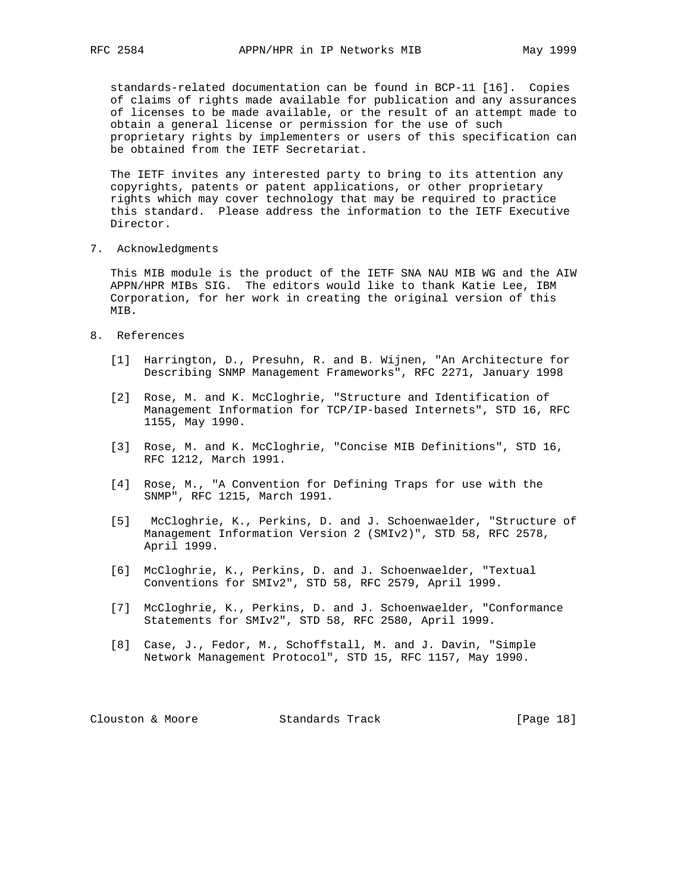standards-related documentation can be found in BCP-11 [16]. Copies of claims of rights made available for publication and any assurances of licenses to be made available, or the result of an attempt made to obtain a general license or permission for the use of such proprietary rights by implementers or users of this specification can be obtained from the IETF Secretariat.

 The IETF invites any interested party to bring to its attention any copyrights, patents or patent applications, or other proprietary rights which may cover technology that may be required to practice this standard. Please address the information to the IETF Executive Director.

7. Acknowledgments

 This MIB module is the product of the IETF SNA NAU MIB WG and the AIW APPN/HPR MIBs SIG. The editors would like to thank Katie Lee, IBM Corporation, for her work in creating the original version of this MIB.

- 8. References
	- [1] Harrington, D., Presuhn, R. and B. Wijnen, "An Architecture for Describing SNMP Management Frameworks", RFC 2271, January 1998
	- [2] Rose, M. and K. McCloghrie, "Structure and Identification of Management Information for TCP/IP-based Internets", STD 16, RFC 1155, May 1990.
	- [3] Rose, M. and K. McCloghrie, "Concise MIB Definitions", STD 16, RFC 1212, March 1991.
	- [4] Rose, M., "A Convention for Defining Traps for use with the SNMP", RFC 1215, March 1991.
	- [5] McCloghrie, K., Perkins, D. and J. Schoenwaelder, "Structure of Management Information Version 2 (SMIv2)", STD 58, RFC 2578, April 1999.
	- [6] McCloghrie, K., Perkins, D. and J. Schoenwaelder, "Textual Conventions for SMIv2", STD 58, RFC 2579, April 1999.
	- [7] McCloghrie, K., Perkins, D. and J. Schoenwaelder, "Conformance Statements for SMIv2", STD 58, RFC 2580, April 1999.
	- [8] Case, J., Fedor, M., Schoffstall, M. and J. Davin, "Simple Network Management Protocol", STD 15, RFC 1157, May 1990.

Clouston & Moore Standards Track [Page 18]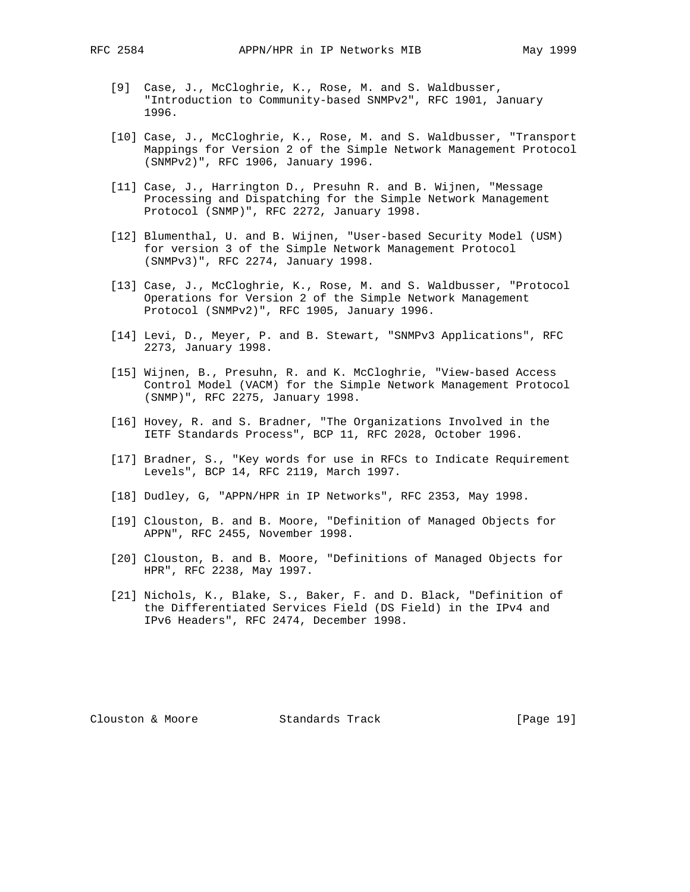- [9] Case, J., McCloghrie, K., Rose, M. and S. Waldbusser, "Introduction to Community-based SNMPv2", RFC 1901, January 1996.
- [10] Case, J., McCloghrie, K., Rose, M. and S. Waldbusser, "Transport Mappings for Version 2 of the Simple Network Management Protocol (SNMPv2)", RFC 1906, January 1996.
- [11] Case, J., Harrington D., Presuhn R. and B. Wijnen, "Message Processing and Dispatching for the Simple Network Management Protocol (SNMP)", RFC 2272, January 1998.
- [12] Blumenthal, U. and B. Wijnen, "User-based Security Model (USM) for version 3 of the Simple Network Management Protocol (SNMPv3)", RFC 2274, January 1998.
- [13] Case, J., McCloghrie, K., Rose, M. and S. Waldbusser, "Protocol Operations for Version 2 of the Simple Network Management Protocol (SNMPv2)", RFC 1905, January 1996.
- [14] Levi, D., Meyer, P. and B. Stewart, "SNMPv3 Applications", RFC 2273, January 1998.
- [15] Wijnen, B., Presuhn, R. and K. McCloghrie, "View-based Access Control Model (VACM) for the Simple Network Management Protocol (SNMP)", RFC 2275, January 1998.
- [16] Hovey, R. and S. Bradner, "The Organizations Involved in the IETF Standards Process", BCP 11, RFC 2028, October 1996.
- [17] Bradner, S., "Key words for use in RFCs to Indicate Requirement Levels", BCP 14, RFC 2119, March 1997.
- [18] Dudley, G, "APPN/HPR in IP Networks", RFC 2353, May 1998.
- [19] Clouston, B. and B. Moore, "Definition of Managed Objects for APPN", RFC 2455, November 1998.
- [20] Clouston, B. and B. Moore, "Definitions of Managed Objects for HPR", RFC 2238, May 1997.
- [21] Nichols, K., Blake, S., Baker, F. and D. Black, "Definition of the Differentiated Services Field (DS Field) in the IPv4 and IPv6 Headers", RFC 2474, December 1998.

Clouston & Moore Standards Track [Page 19]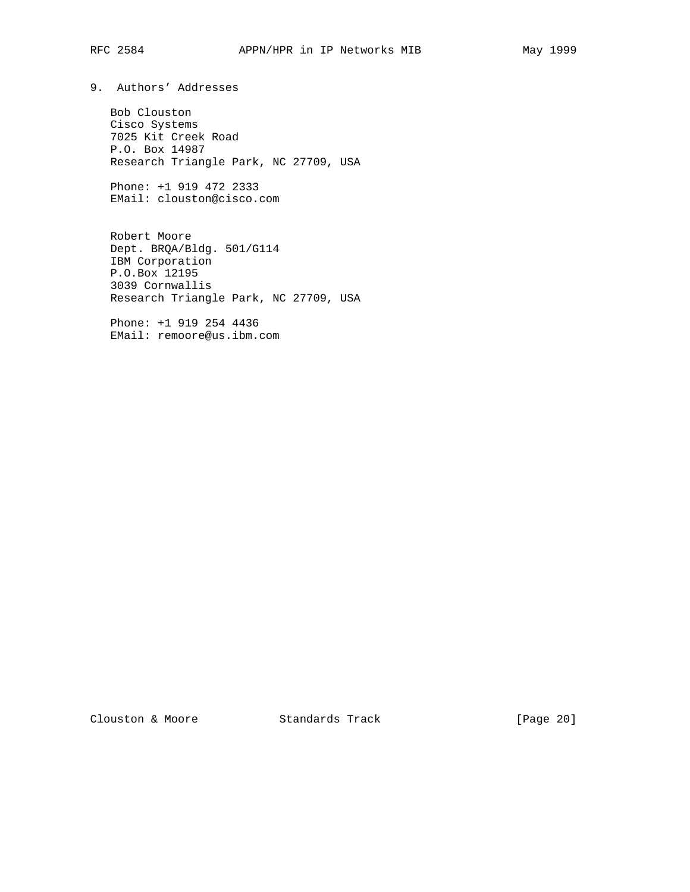9. Authors' Addresses

 Bob Clouston Cisco Systems 7025 Kit Creek Road P.O. Box 14987 Research Triangle Park, NC 27709, USA

 Phone: +1 919 472 2333 EMail: clouston@cisco.com

 Robert Moore Dept. BRQA/Bldg. 501/G114 IBM Corporation P.O.Box 12195 3039 Cornwallis Research Triangle Park, NC 27709, USA

 Phone: +1 919 254 4436 EMail: remoore@us.ibm.com

Clouston & Moore Standards Track [Page 20]